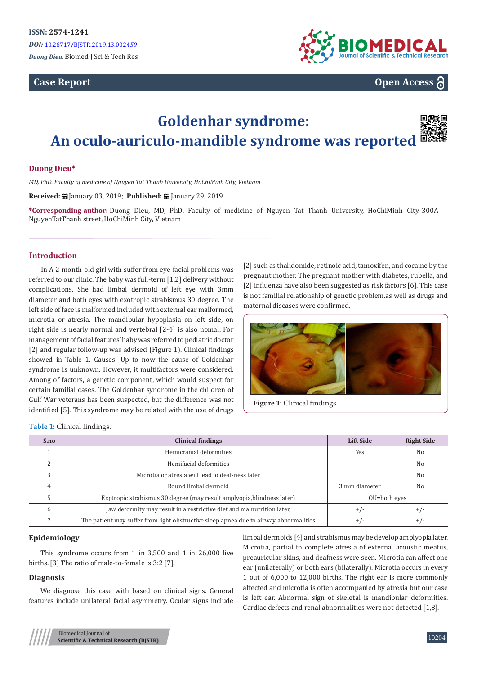# **Case Report**



**Open Access**

# **Goldenhar syndrome: An oculo-auriculo-mandible syndrome was reported**

# **Duong Dieu\***

*MD, PhD. Faculty of medicine of Nguyen Tat Thanh University, HoChiMinh City, Vietnam*

**Received:** | January 03, 2019; Published: | | January 29, 2019

**\*Corresponding author:** Duong Dieu, MD, PhD. Faculty of medicine of Nguyen Tat Thanh University, HoChiMinh City. 300A NguyenTatThanh street, HoChiMinh City, Vietnam

#### **Introduction**

In A 2-month-old girl with suffer from eye-facial problems was referred to our clinic. The baby was full-term [1,2] delivery without complications. She had limbal dermoid of left eye with 3mm diameter and both eyes with exotropic strabismus 30 degree. The left side of face is malformed included with external ear malformed, microtia or atresia. The mandibular hypoplasia on left side, on right side is nearly normal and vertebral [2-4] is also nomal. For management of facial features' baby was referred to pediatric doctor [2] and regular follow-up was advised (Figure 1). Clinical findings showed in Table 1. Causes: Up to now the cause of Goldenhar syndrome is unknown. However, it multifactors were considered. Among of factors, a genetic component, which would suspect for certain familial cases. The Goldenhar syndrome in the children of Gulf War veterans has been suspected, but the difference was not identified [5]. This syndrome may be related with the use of drugs

[2] such as thalidomide, retinoic acid, tamoxifen, and cocaine by the pregnant mother. The pregnant mother with diabetes, rubella, and [2] influenza have also been suggested as risk factors [6]. This case is not familial relationship of genetic problem.as well as drugs and maternal diseases were confirmed.



**Figure 1:** Clinical findings.

**Table 1:** Clinical findings.

| S.no | <b>Clinical findings</b>                                                              | <b>Lift Side</b> | <b>Right Side</b> |
|------|---------------------------------------------------------------------------------------|------------------|-------------------|
|      | Hemicranial deformities                                                               | Yes              | N <sub>0</sub>    |
|      | Hemifacial deformities                                                                |                  | No                |
|      | Microtia or atresia will lead to deaf-ness later                                      |                  | N <sub>0</sub>    |
|      | Round limbal dermoid                                                                  | 3 mm diameter    | N <sub>0</sub>    |
|      | Exptropic strabismus 30 degree (may result amplyopia, blindness later)                | OU=both eyes     |                   |
| h    | Jaw deformity may result in a restrictive diet and malnutrition later.                | $+/-$            | $+/-$             |
|      | The patient may suffer from light obstructive sleep apnea due to airway abnormalities | $+/-$            | $+/-$             |

#### **Epidemiology**

This syndrome occurs from 1 in 3,500 and 1 in 26,000 live births. [3] The ratio of male-to-female is 3:2 [7].

## **Diagnosis**

We diagnose this case with based on clinical signs. General features include unilateral facial asymmetry. Ocular signs include limbal dermoids [4] and strabismus may be develop amplyopia later. Microtia, partial to complete atresia of external acoustic meatus, preauricular skins, and deafness were seen. Microtia can affect one ear (unilaterally) or both ears (bilaterally). Microtia occurs in every 1 out of 6,000 to 12,000 births. The right ear is more commonly affected and microtia is often accompanied by atresia but our case is left ear. Abnormal sign of skeletal is mandibular deformities. Cardiac defects and renal abnormalities were not detected [1,8].